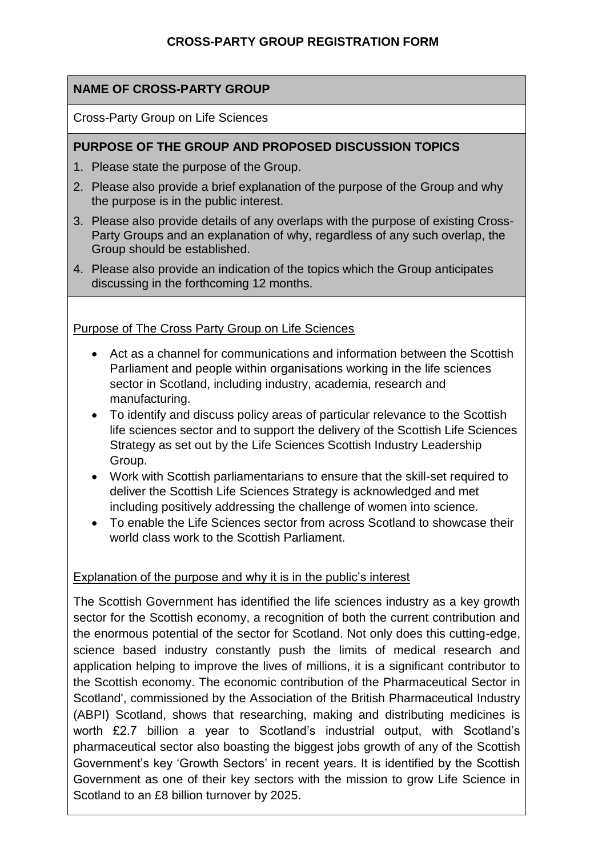# **NAME OF CROSS-PARTY GROUP**

Cross-Party Group on Life Sciences

### **PURPOSE OF THE GROUP AND PROPOSED DISCUSSION TOPICS**

- 1. Please state the purpose of the Group.
- 2. Please also provide a brief explanation of the purpose of the Group and why the purpose is in the public interest.
- 3. Please also provide details of any overlaps with the purpose of existing Cross-Party Groups and an explanation of why, regardless of any such overlap, the Group should be established.
- 4. Please also provide an indication of the topics which the Group anticipates discussing in the forthcoming 12 months.

### Purpose of The Cross Party Group on Life Sciences

- Act as a channel for communications and information between the Scottish Parliament and people within organisations working in the life sciences sector in Scotland, including industry, academia, research and manufacturing.
- To identify and discuss policy areas of particular relevance to the Scottish life sciences sector and to support the delivery of the Scottish Life Sciences Strategy as set out by the Life Sciences Scottish Industry Leadership Group.
- Work with Scottish parliamentarians to ensure that the skill-set required to deliver the Scottish Life Sciences Strategy is acknowledged and met including positively addressing the challenge of women into science.
- To enable the Life Sciences sector from across Scotland to showcase their world class work to the Scottish Parliament.

### Explanation of the purpose and why it is in the public's interest

The Scottish Government has identified the life sciences industry as a key growth sector for the Scottish economy, a recognition of both the current contribution and the enormous potential of the sector for Scotland. Not only does this cutting-edge, science based industry constantly push the limits of medical research and application helping to improve the lives of millions, it is a significant contributor to the Scottish economy. The economic contribution of the Pharmaceutical Sector in Scotland', commissioned by the Association of the British Pharmaceutical Industry (ABPI) Scotland, shows that researching, making and distributing medicines is worth £2.7 billion a year to Scotland's industrial output, with Scotland's pharmaceutical sector also boasting the biggest jobs growth of any of the Scottish Government's key 'Growth Sectors' in recent years. It is identified by the Scottish Government as one of their key sectors with the mission to grow Life Science in Scotland to an £8 billion turnover by 2025.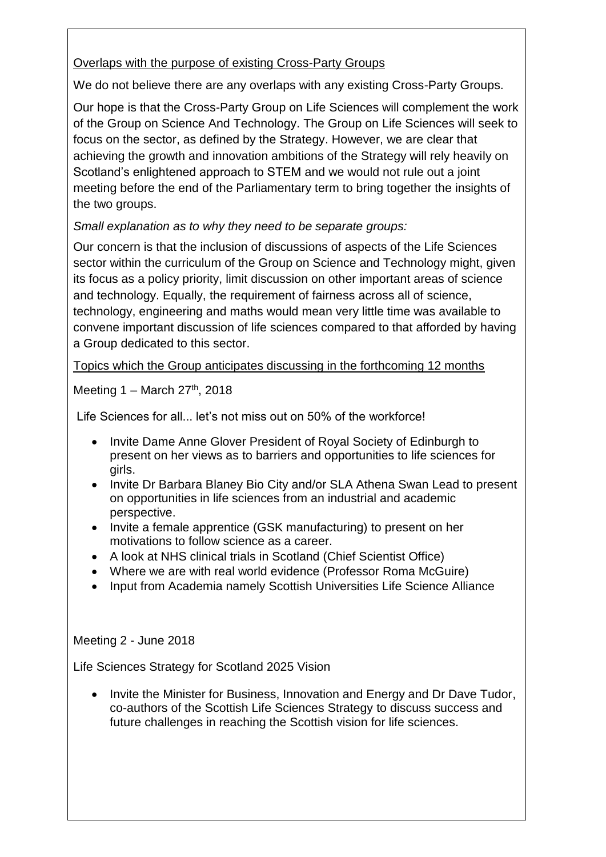### Overlaps with the purpose of existing Cross-Party Groups

We do not believe there are any overlaps with any existing Cross-Party Groups.

Our hope is that the Cross-Party Group on Life Sciences will complement the work of the Group on [Science And Technology.](http://www.parliament.scot/msps/science-and-technology.aspx) The Group on Life Sciences will seek to focus on the sector, as defined by the Strategy. However, we are clear that achieving the growth and innovation ambitions of the Strategy will rely heavily on Scotland's enlightened approach to STEM and we would not rule out a joint meeting before the end of the Parliamentary term to bring together the insights of the two groups.

*Small explanation as to why they need to be separate groups:* 

Our concern is that the inclusion of discussions of aspects of the Life Sciences sector within the curriculum of the Group on Science and Technology might, given its focus as a policy priority, limit discussion on other important areas of science and technology. Equally, the requirement of fairness across all of science, technology, engineering and maths would mean very little time was available to convene important discussion of life sciences compared to that afforded by having a Group dedicated to this sector.

Topics which the Group anticipates discussing in the forthcoming 12 months

Meeting  $1 -$  March  $27<sup>th</sup>$ , 2018

Life Sciences for all... let's not miss out on 50% of the workforce!

- Invite Dame Anne Glover President of Royal Society of Edinburgh to present on her views as to barriers and opportunities to life sciences for girls.
- Invite Dr Barbara Blaney Bio City and/or SLA Athena Swan Lead to present on opportunities in life sciences from an industrial and academic perspective.
- Invite a female apprentice (GSK manufacturing) to present on her motivations to follow science as a career.
- A look at NHS clinical trials in Scotland (Chief Scientist Office)
- Where we are with real world evidence (Professor Roma McGuire)
- Input from Academia namely Scottish Universities Life Science Alliance

Meeting 2 - June 2018

Life Sciences Strategy for Scotland 2025 Vision

 Invite the Minister for Business, Innovation and Energy and Dr Dave Tudor, co-authors of the Scottish Life Sciences Strategy to discuss success and future challenges in reaching the Scottish vision for life sciences.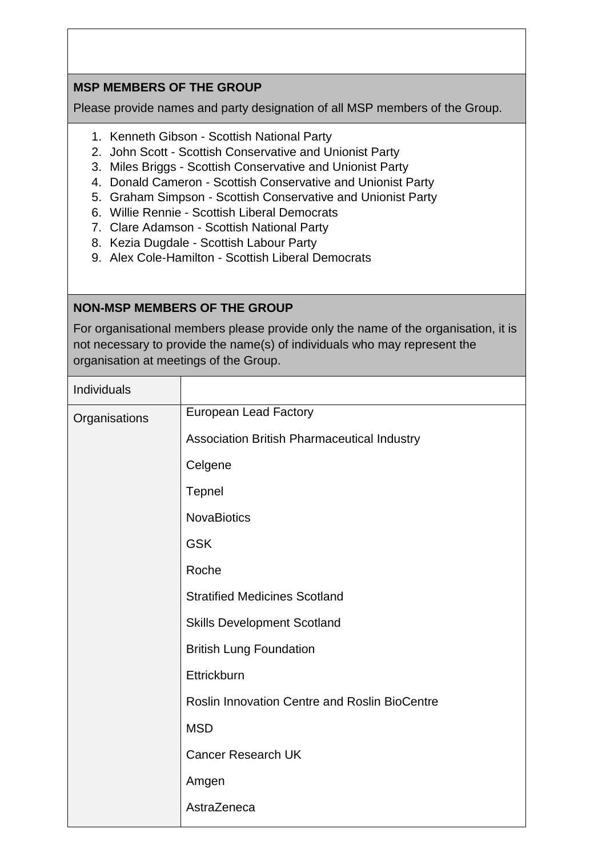# **MSP MEMBERS OF THE GROUP**

Please provide names and party designation of all MSP members of the Group.

- 1. Kenneth Gibson Scottish National Party
- 2. John Scott Scottish Conservative and Unionist Party
- 3. Miles Briggs Scottish Conservative and Unionist Party
- 4. Donald Cameron Scottish Conservative and Unionist Party
- 5. Graham Simpson Scottish Conservative and Unionist Party
- 6. Willie Rennie Scottish Liberal Democrats
- 7. Clare Adamson Scottish National Party
- 8. Kezia Dugdale Scottish Labour Party
- 9. Alex Cole-Hamilton Scottish Liberal Democrats

# **NON-MSP MEMBERS OF THE GROUP**

For organisational members please provide only the name of the organisation, it is not necessary to provide the name(s) of individuals who may represent the organisation at meetings of the Group.

| Individuals   |                                                      |
|---------------|------------------------------------------------------|
| Organisations | <b>European Lead Factory</b>                         |
|               | Association British Pharmaceutical Industry          |
|               | Celgene                                              |
|               | <b>Tepnel</b>                                        |
|               | <b>NovaBiotics</b>                                   |
|               | <b>GSK</b>                                           |
|               | Roche                                                |
|               | <b>Stratified Medicines Scotland</b>                 |
|               | <b>Skills Development Scotland</b>                   |
|               | <b>British Lung Foundation</b>                       |
|               | Ettrickburn                                          |
|               | <b>Roslin Innovation Centre and Roslin BioCentre</b> |
|               | <b>MSD</b>                                           |
|               | <b>Cancer Research UK</b>                            |
|               | Amgen                                                |
|               | AstraZeneca                                          |
|               |                                                      |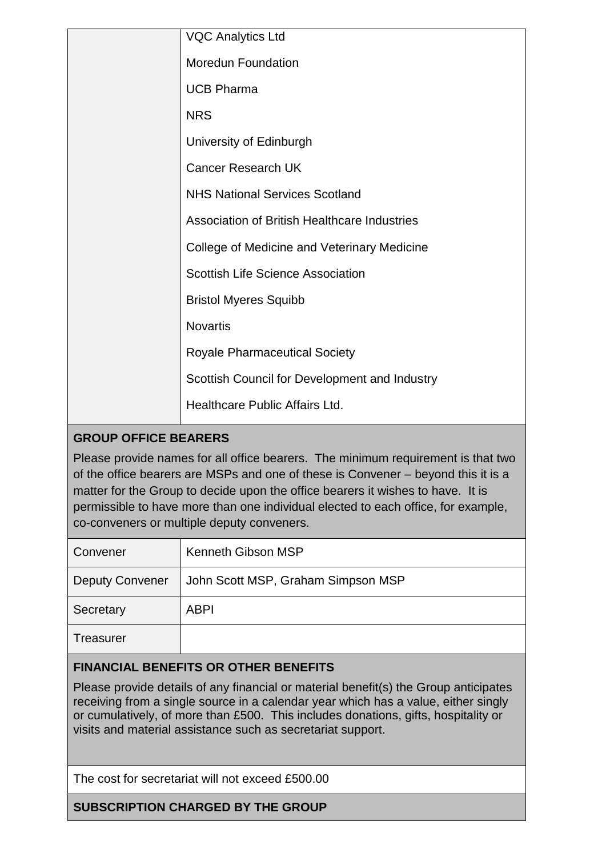|  | <b>VQC Analytics Ltd</b>                      |
|--|-----------------------------------------------|
|  | <b>Moredun Foundation</b>                     |
|  | <b>UCB Pharma</b>                             |
|  | <b>NRS</b>                                    |
|  | University of Edinburgh                       |
|  | <b>Cancer Research UK</b>                     |
|  | <b>NHS National Services Scotland</b>         |
|  | Association of British Healthcare Industries  |
|  | College of Medicine and Veterinary Medicine   |
|  | <b>Scottish Life Science Association</b>      |
|  | <b>Bristol Myeres Squibb</b>                  |
|  | <b>Novartis</b>                               |
|  | <b>Royale Pharmaceutical Society</b>          |
|  | Scottish Council for Development and Industry |
|  | Healthcare Public Affairs Ltd.                |
|  |                                               |

# **GROUP OFFICE BEARERS**

Please provide names for all office bearers. The minimum requirement is that two of the office bearers are MSPs and one of these is Convener – beyond this it is a matter for the Group to decide upon the office bearers it wishes to have. It is permissible to have more than one individual elected to each office, for example, co-conveners or multiple deputy conveners.

| Convener               | Kenneth Gibson MSP                 |
|------------------------|------------------------------------|
| <b>Deputy Convener</b> | John Scott MSP, Graham Simpson MSP |
| Secretary              | <b>ABPI</b>                        |
| Treasurer              |                                    |

### **FINANCIAL BENEFITS OR OTHER BENEFITS**

Please provide details of any financial or material benefit(s) the Group anticipates receiving from a single source in a calendar year which has a value, either singly or cumulatively, of more than £500. This includes donations, gifts, hospitality or visits and material assistance such as secretariat support.

The cost for secretariat will not exceed £500.00

**SUBSCRIPTION CHARGED BY THE GROUP**